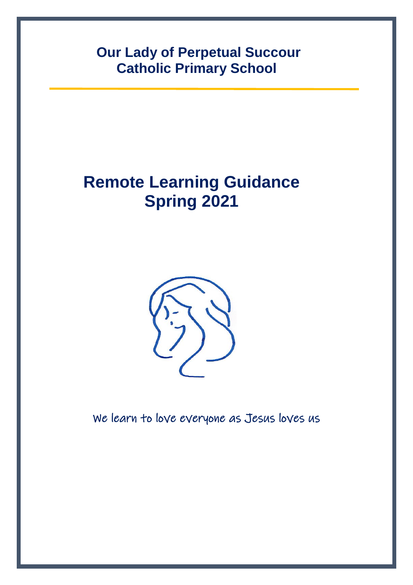**Our Lady of Perpetual Succour Catholic Primary School**

# **Remote Learning Guidance Spring 2021**



We learn to love everyone as Jesus loves us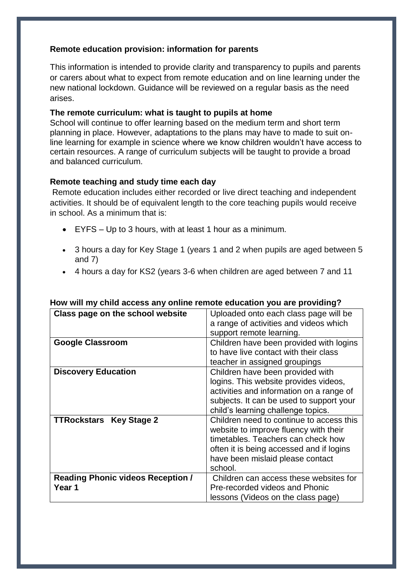# **Remote education provision: information for parents**

This information is intended to provide clarity and transparency to pupils and parents or carers about what to expect from remote education and on line learning under the new national lockdown. Guidance will be reviewed on a regular basis as the need arises.

# **The remote curriculum: what is taught to pupils at home**

School will continue to offer learning based on the medium term and short term planning in place. However, adaptations to the plans may have to made to suit online learning for example in science where we know children wouldn't have access to certain resources. A range of curriculum subjects will be taught to provide a broad and balanced curriculum.

# **Remote teaching and study time each day**

Remote education includes either recorded or live direct teaching and independent activities. It should be of equivalent length to the core teaching pupils would receive in school. As a minimum that is:

- EYFS Up to 3 hours, with at least 1 hour as a minimum.
- 3 hours a day for Key Stage 1 (years 1 and 2 when pupils are aged between 5 and 7)
- 4 hours a day for KS2 (years 3-6 when children are aged between 7 and 11

| Class page on the school website         | Uploaded onto each class page will be    |
|------------------------------------------|------------------------------------------|
|                                          | a range of activities and videos which   |
|                                          | support remote learning.                 |
| <b>Google Classroom</b>                  | Children have been provided with logins  |
|                                          | to have live contact with their class    |
|                                          | teacher in assigned groupings            |
| <b>Discovery Education</b>               | Children have been provided with         |
|                                          | logins. This website provides videos,    |
|                                          | activities and information on a range of |
|                                          | subjects. It can be used to support your |
|                                          | child's learning challenge topics.       |
| <b>TTRockstars Key Stage 2</b>           | Children need to continue to access this |
|                                          | website to improve fluency with their    |
|                                          | timetables. Teachers can check how       |
|                                          | often it is being accessed and if logins |
|                                          | have been mislaid please contact         |
|                                          | school.                                  |
| <b>Reading Phonic videos Reception /</b> | Children can access these websites for   |
| Year 1                                   | Pre-recorded videos and Phonic           |
|                                          | lessons (Videos on the class page)       |

#### **How will my child access any online remote education you are providing?**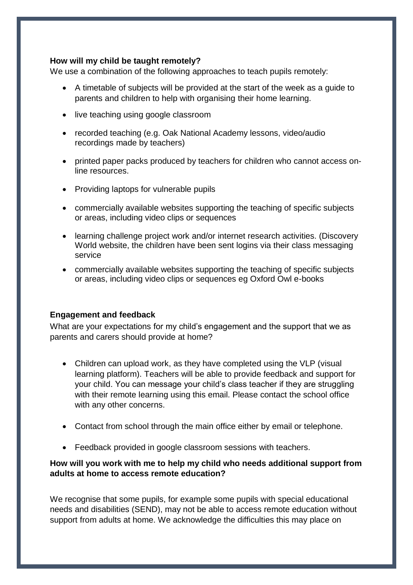## **How will my child be taught remotely?**

We use a combination of the following approaches to teach pupils remotely:

- A timetable of subjects will be provided at the start of the week as a guide to parents and children to help with organising their home learning.
- live teaching using google classroom
- recorded teaching (e.g. Oak National Academy lessons, video/audio recordings made by teachers)
- printed paper packs produced by teachers for children who cannot access online resources.
- Providing laptops for vulnerable pupils
- commercially available websites supporting the teaching of specific subjects or areas, including video clips or sequences
- learning challenge project work and/or internet research activities. (Discovery World website, the children have been sent logins via their class messaging service
- commercially available websites supporting the teaching of specific subjects or areas, including video clips or sequences eg Oxford Owl e-books

#### **Engagement and feedback**

What are your expectations for my child's engagement and the support that we as parents and carers should provide at home?

- Children can upload work, as they have completed using the VLP (visual learning platform). Teachers will be able to provide feedback and support for your child. You can message your child's class teacher if they are struggling with their remote learning using this email. Please contact the school office with any other concerns.
- Contact from school through the main office either by email or telephone.
- Feedback provided in google classroom sessions with teachers.

# **How will you work with me to help my child who needs additional support from adults at home to access remote education?**

We recognise that some pupils, for example some pupils with special educational needs and disabilities (SEND), may not be able to access remote education without support from adults at home. We acknowledge the difficulties this may place on